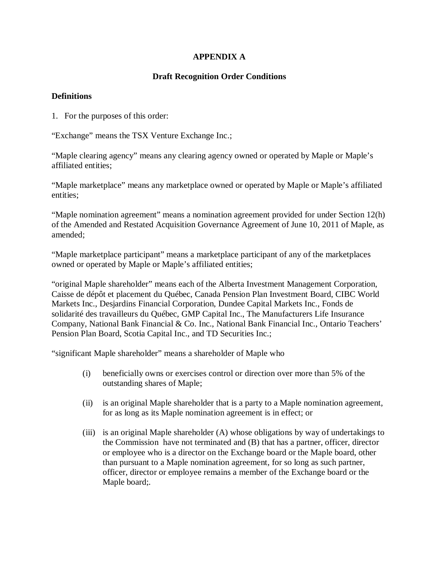# **APPENDIX A**

# **Draft Recognition Order Conditions**

# **Definitions**

1. For the purposes of this order:

"Exchange" means the TSX Venture Exchange Inc.;

"Maple clearing agency" means any clearing agency owned or operated by Maple or Maple's affiliated entities;

"Maple marketplace" means any marketplace owned or operated by Maple or Maple's affiliated entities;

"Maple nomination agreement" means a nomination agreement provided for under Section 12(h) of the Amended and Restated Acquisition Governance Agreement of June 10, 2011 of Maple, as amended;

"Maple marketplace participant" means a marketplace participant of any of the marketplaces owned or operated by Maple or Maple's affiliated entities;

"original Maple shareholder" means each of the Alberta Investment Management Corporation, Caisse de dépôt et placement du Québec, Canada Pension Plan Investment Board, CIBC World Markets Inc., Desjardins Financial Corporation, Dundee Capital Markets Inc., Fonds de solidarité des travailleurs du Québec, GMP Capital Inc., The Manufacturers Life Insurance Company, National Bank Financial & Co. Inc., National Bank Financial Inc., Ontario Teachers' Pension Plan Board, Scotia Capital Inc., and TD Securities Inc.;

"significant Maple shareholder" means a shareholder of Maple who

- (i) beneficially owns or exercises control or direction over more than 5% of the outstanding shares of Maple;
- (ii) is an original Maple shareholder that is a party to a Maple nomination agreement, for as long as its Maple nomination agreement is in effect; or
- (iii) is an original Maple shareholder (A) whose obligations by way of undertakings to the Commission have not terminated and (B) that has a partner, officer, director or employee who is a director on the Exchange board or the Maple board, other than pursuant to a Maple nomination agreement, for so long as such partner, officer, director or employee remains a member of the Exchange board or the Maple board;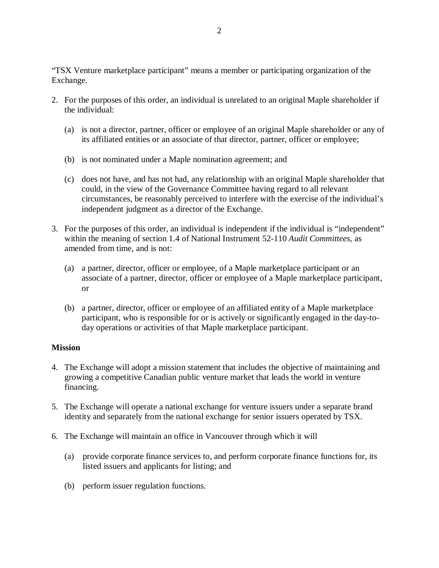"TSX Venture marketplace participant" means a member or participating organization of the Exchange.

- 2. For the purposes of this order, an individual is unrelated to an original Maple shareholder if the individual:
	- (a) is not a director, partner, officer or employee of an original Maple shareholder or any of its affiliated entities or an associate of that director, partner, officer or employee;
	- (b) is not nominated under a Maple nomination agreement; and
	- (c) does not have, and has not had, any relationship with an original Maple shareholder that could, in the view of the Governance Committee having regard to all relevant circumstances, be reasonably perceived to interfere with the exercise of the individual's independent judgment as a director of the Exchange.
- 3. For the purposes of this order, an individual is independent if the individual is "independent" within the meaning of section 1.4 of National Instrument 52-110 *Audit Committees*, as amended from time, and is not:
	- (a) a partner, director, officer or employee, of a Maple marketplace participant or an associate of a partner, director, officer or employee of a Maple marketplace participant, or
	- (b) a partner, director, officer or employee of an affiliated entity of a Maple marketplace participant, who is responsible for or is actively or significantly engaged in the day-today operations or activities of that Maple marketplace participant.

## **Mission**

- 4. The Exchange will adopt a mission statement that includes the objective of maintaining and growing a competitive Canadian public venture market that leads the world in venture financing.
- 5. The Exchange will operate a national exchange for venture issuers under a separate brand identity and separately from the national exchange for senior issuers operated by TSX.
- 6. The Exchange will maintain an office in Vancouver through which it will
	- (a) provide corporate finance services to, and perform corporate finance functions for, its listed issuers and applicants for listing; and
	- (b) perform issuer regulation functions.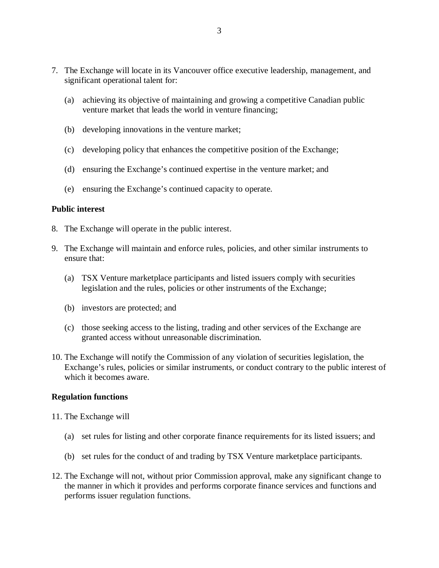- 7. The Exchange will locate in its Vancouver office executive leadership, management, and significant operational talent for:
	- (a) achieving its objective of maintaining and growing a competitive Canadian public venture market that leads the world in venture financing;
	- (b) developing innovations in the venture market;
	- (c) developing policy that enhances the competitive position of the Exchange;
	- (d) ensuring the Exchange's continued expertise in the venture market; and
	- (e) ensuring the Exchange's continued capacity to operate.

### **Public interest**

- 8. The Exchange will operate in the public interest.
- 9. The Exchange will maintain and enforce rules, policies, and other similar instruments to ensure that:
	- (a) TSX Venture marketplace participants and listed issuers comply with securities legislation and the rules, policies or other instruments of the Exchange;
	- (b) investors are protected; and
	- (c) those seeking access to the listing, trading and other services of the Exchange are granted access without unreasonable discrimination.
- 10. The Exchange will notify the Commission of any violation of securities legislation, the Exchange's rules, policies or similar instruments, or conduct contrary to the public interest of which it becomes aware.

#### **Regulation functions**

- 11. The Exchange will
	- (a) set rules for listing and other corporate finance requirements for its listed issuers; and
	- (b) set rules for the conduct of and trading by TSX Venture marketplace participants.
- 12. The Exchange will not, without prior Commission approval, make any significant change to the manner in which it provides and performs corporate finance services and functions and performs issuer regulation functions.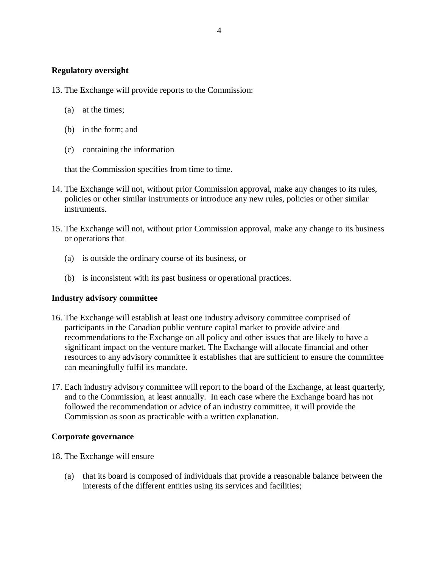## **Regulatory oversight**

- 13. The Exchange will provide reports to the Commission:
	- (a) at the times;
	- (b) in the form; and
	- (c) containing the information

that the Commission specifies from time to time.

- 14. The Exchange will not, without prior Commission approval, make any changes to its rules, policies or other similar instruments or introduce any new rules, policies or other similar instruments.
- 15. The Exchange will not, without prior Commission approval, make any change to its business or operations that
	- (a) is outside the ordinary course of its business, or
	- (b) is inconsistent with its past business or operational practices.

#### **Industry advisory committee**

- 16. The Exchange will establish at least one industry advisory committee comprised of participants in the Canadian public venture capital market to provide advice and recommendations to the Exchange on all policy and other issues that are likely to have a significant impact on the venture market. The Exchange will allocate financial and other resources to any advisory committee it establishes that are sufficient to ensure the committee can meaningfully fulfil its mandate.
- 17. Each industry advisory committee will report to the board of the Exchange, at least quarterly, and to the Commission, at least annually. In each case where the Exchange board has not followed the recommendation or advice of an industry committee, it will provide the Commission as soon as practicable with a written explanation.

#### **Corporate governance**

- 18. The Exchange will ensure
	- (a) that its board is composed of individuals that provide a reasonable balance between the interests of the different entities using its services and facilities;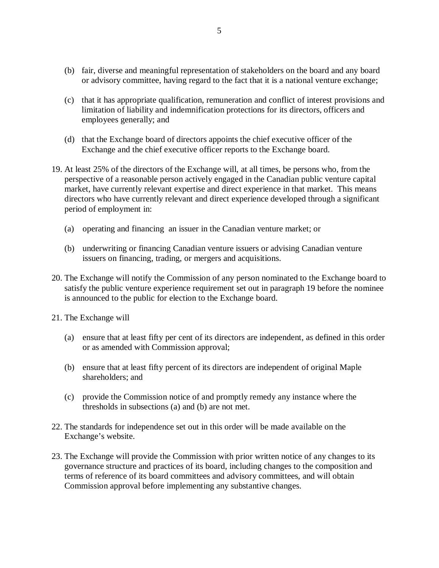- (b) fair, diverse and meaningful representation of stakeholders on the board and any board or advisory committee, having regard to the fact that it is a national venture exchange;
- (c) that it has appropriate qualification, remuneration and conflict of interest provisions and limitation of liability and indemnification protections for its directors, officers and employees generally; and
- (d) that the Exchange board of directors appoints the chief executive officer of the Exchange and the chief executive officer reports to the Exchange board.
- 19. At least 25% of the directors of the Exchange will, at all times, be persons who, from the perspective of a reasonable person actively engaged in the Canadian public venture capital market, have currently relevant expertise and direct experience in that market. This means directors who have currently relevant and direct experience developed through a significant period of employment in:
	- (a) operating and financing an issuer in the Canadian venture market; or
	- (b) underwriting or financing Canadian venture issuers or advising Canadian venture issuers on financing, trading, or mergers and acquisitions.
- 20. The Exchange will notify the Commission of any person nominated to the Exchange board to satisfy the public venture experience requirement set out in paragraph 19 before the nominee is announced to the public for election to the Exchange board.
- 21. The Exchange will
	- (a) ensure that at least fifty per cent of its directors are independent, as defined in this order or as amended with Commission approval;
	- (b) ensure that at least fifty percent of its directors are independent of original Maple shareholders; and
	- (c) provide the Commission notice of and promptly remedy any instance where the thresholds in subsections (a) and (b) are not met.
- 22. The standards for independence set out in this order will be made available on the Exchange's website.
- 23. The Exchange will provide the Commission with prior written notice of any changes to its governance structure and practices of its board, including changes to the composition and terms of reference of its board committees and advisory committees, and will obtain Commission approval before implementing any substantive changes.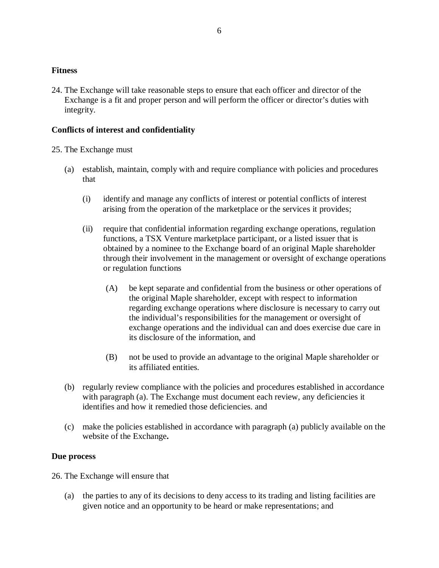## **Fitness**

24. The Exchange will take reasonable steps to ensure that each officer and director of the Exchange is a fit and proper person and will perform the officer or director's duties with integrity.

# **Conflicts of interest and confidentiality**

### 25. The Exchange must

- (a) establish, maintain, comply with and require compliance with policies and procedures that
	- (i) identify and manage any conflicts of interest or potential conflicts of interest arising from the operation of the marketplace or the services it provides;
	- (ii) require that confidential information regarding exchange operations, regulation functions, a TSX Venture marketplace participant, or a listed issuer that is obtained by a nominee to the Exchange board of an original Maple shareholder through their involvement in the management or oversight of exchange operations or regulation functions
		- (A) be kept separate and confidential from the business or other operations of the original Maple shareholder, except with respect to information regarding exchange operations where disclosure is necessary to carry out the individual's responsibilities for the management or oversight of exchange operations and the individual can and does exercise due care in its disclosure of the information, and
		- (B) not be used to provide an advantage to the original Maple shareholder or its affiliated entities.
- (b) regularly review compliance with the policies and procedures established in accordance with paragraph (a). The Exchange must document each review, any deficiencies it identifies and how it remedied those deficiencies. and
- (c) make the policies established in accordance with paragraph (a) publicly available on the website of the Exchange**.**

## **Due process**

26. The Exchange will ensure that

(a) the parties to any of its decisions to deny access to its trading and listing facilities are given notice and an opportunity to be heard or make representations; and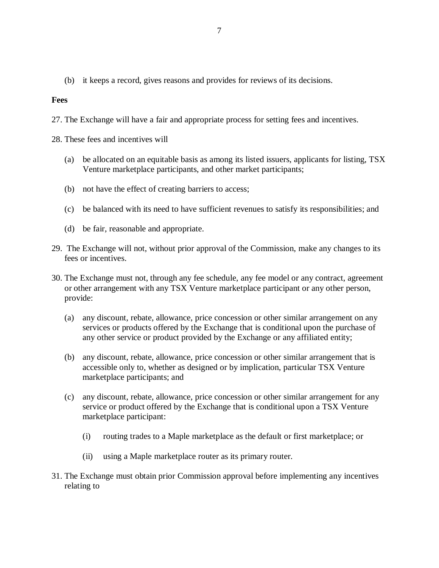(b) it keeps a record, gives reasons and provides for reviews of its decisions.

### **Fees**

- 27. The Exchange will have a fair and appropriate process for setting fees and incentives.
- 28. These fees and incentives will
	- (a) be allocated on an equitable basis as among its listed issuers, applicants for listing, TSX Venture marketplace participants, and other market participants;
	- (b) not have the effect of creating barriers to access;
	- (c) be balanced with its need to have sufficient revenues to satisfy its responsibilities; and
	- (d) be fair, reasonable and appropriate.
- 29. The Exchange will not, without prior approval of the Commission, make any changes to its fees or incentives.
- 30. The Exchange must not, through any fee schedule, any fee model or any contract, agreement or other arrangement with any TSX Venture marketplace participant or any other person, provide:
	- (a) any discount, rebate, allowance, price concession or other similar arrangement on any services or products offered by the Exchange that is conditional upon the purchase of any other service or product provided by the Exchange or any affiliated entity;
	- (b) any discount, rebate, allowance, price concession or other similar arrangement that is accessible only to, whether as designed or by implication, particular TSX Venture marketplace participants; and
	- (c) any discount, rebate, allowance, price concession or other similar arrangement for any service or product offered by the Exchange that is conditional upon a TSX Venture marketplace participant:
		- (i) routing trades to a Maple marketplace as the default or first marketplace; or
		- (ii) using a Maple marketplace router as its primary router.
- 31. The Exchange must obtain prior Commission approval before implementing any incentives relating to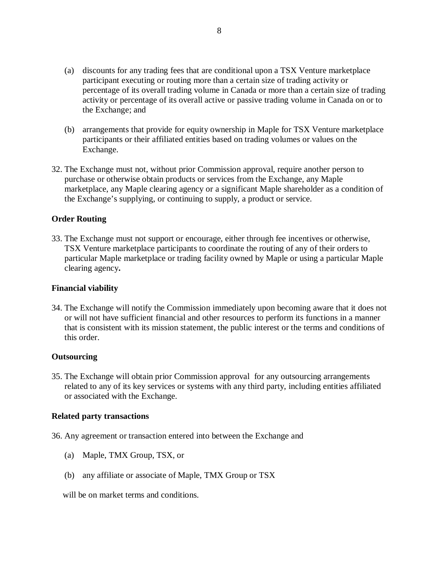- (a) discounts for any trading fees that are conditional upon a TSX Venture marketplace participant executing or routing more than a certain size of trading activity or percentage of its overall trading volume in Canada or more than a certain size of trading activity or percentage of its overall active or passive trading volume in Canada on or to the Exchange; and
- (b) arrangements that provide for equity ownership in Maple for TSX Venture marketplace participants or their affiliated entities based on trading volumes or values on the Exchange.
- 32. The Exchange must not, without prior Commission approval, require another person to purchase or otherwise obtain products or services from the Exchange, any Maple marketplace, any Maple clearing agency or a significant Maple shareholder as a condition of the Exchange's supplying, or continuing to supply, a product or service.

## **Order Routing**

33. The Exchange must not support or encourage, either through fee incentives or otherwise, TSX Venture marketplace participants to coordinate the routing of any of their orders to particular Maple marketplace or trading facility owned by Maple or using a particular Maple clearing agency**.**

#### **Financial viability**

34. The Exchange will notify the Commission immediately upon becoming aware that it does not or will not have sufficient financial and other resources to perform its functions in a manner that is consistent with its mission statement, the public interest or the terms and conditions of this order.

#### **Outsourcing**

35. The Exchange will obtain prior Commission approval for any outsourcing arrangements related to any of its key services or systems with any third party, including entities affiliated or associated with the Exchange.

#### **Related party transactions**

- 36. Any agreement or transaction entered into between the Exchange and
	- (a) Maple, TMX Group, TSX, or
	- (b) any affiliate or associate of Maple, TMX Group or TSX

will be on market terms and conditions.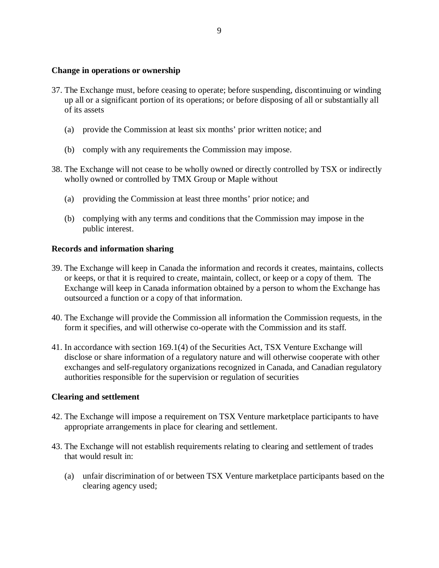### **Change in operations or ownership**

- 37. The Exchange must, before ceasing to operate; before suspending, discontinuing or winding up all or a significant portion of its operations; or before disposing of all or substantially all of its assets
	- (a) provide the Commission at least six months' prior written notice; and
	- (b) comply with any requirements the Commission may impose.
- 38. The Exchange will not cease to be wholly owned or directly controlled by TSX or indirectly wholly owned or controlled by TMX Group or Maple without
	- (a) providing the Commission at least three months' prior notice; and
	- (b) complying with any terms and conditions that the Commission may impose in the public interest.

## **Records and information sharing**

- 39. The Exchange will keep in Canada the information and records it creates, maintains, collects or keeps, or that it is required to create, maintain, collect, or keep or a copy of them. The Exchange will keep in Canada information obtained by a person to whom the Exchange has outsourced a function or a copy of that information.
- 40. The Exchange will provide the Commission all information the Commission requests, in the form it specifies, and will otherwise co-operate with the Commission and its staff.
- 41. In accordance with section 169.1(4) of the Securities Act, TSX Venture Exchange will disclose or share information of a regulatory nature and will otherwise cooperate with other exchanges and self-regulatory organizations recognized in Canada, and Canadian regulatory authorities responsible for the supervision or regulation of securities

## **Clearing and settlement**

- 42. The Exchange will impose a requirement on TSX Venture marketplace participants to have appropriate arrangements in place for clearing and settlement.
- 43. The Exchange will not establish requirements relating to clearing and settlement of trades that would result in:
	- (a) unfair discrimination of or between TSX Venture marketplace participants based on the clearing agency used;